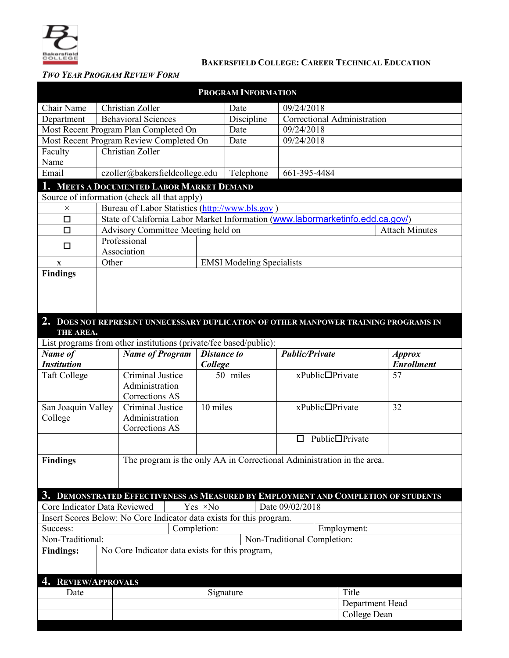

### **BAKERSFIELD COLLEGE: CAREER TECHNICAL EDUCATION**

# *TWO YEAR PROGRAM REVIEW FORM*

| <b>PROGRAM INFORMATION</b>                                                                    |                                                                                |                                         |             |                                  |                             |                       |                                                                                      |                                 |  |
|-----------------------------------------------------------------------------------------------|--------------------------------------------------------------------------------|-----------------------------------------|-------------|----------------------------------|-----------------------------|-----------------------|--------------------------------------------------------------------------------------|---------------------------------|--|
| Chair Name                                                                                    | Christian Zoller                                                               |                                         |             |                                  | Date                        | 09/24/2018            |                                                                                      |                                 |  |
| Department                                                                                    |                                                                                | <b>Behavioral Sciences</b>              |             |                                  | Discipline                  |                       | Correctional Administration                                                          |                                 |  |
| Most Recent Program Plan Completed On                                                         |                                                                                |                                         |             | Date                             | 09/24/2018                  |                       |                                                                                      |                                 |  |
|                                                                                               |                                                                                | Most Recent Program Review Completed On |             |                                  | Date                        | 09/24/2018            |                                                                                      |                                 |  |
| Faculty                                                                                       | Christian Zoller                                                               |                                         |             |                                  |                             |                       |                                                                                      |                                 |  |
| Name                                                                                          |                                                                                |                                         |             |                                  |                             |                       |                                                                                      |                                 |  |
| Email                                                                                         | czoller@bakersfieldcollege.edu                                                 |                                         |             |                                  | Telephone                   |                       | 661-395-4484                                                                         |                                 |  |
| <b>MEETS A DOCUMENTED LABOR MARKET DEMAND</b><br>Source of information (check all that apply) |                                                                                |                                         |             |                                  |                             |                       |                                                                                      |                                 |  |
| $\times$                                                                                      | Bureau of Labor Statistics (http://www.bls.gov)                                |                                         |             |                                  |                             |                       |                                                                                      |                                 |  |
| $\Box$                                                                                        | State of California Labor Market Information (www.labormarketinfo.edd.ca.gov/) |                                         |             |                                  |                             |                       |                                                                                      |                                 |  |
| $\Box$                                                                                        | Advisory Committee Meeting held on                                             |                                         |             |                                  |                             |                       | <b>Attach Minutes</b>                                                                |                                 |  |
|                                                                                               | Professional                                                                   |                                         |             |                                  |                             |                       |                                                                                      |                                 |  |
| □                                                                                             | Association                                                                    |                                         |             |                                  |                             |                       |                                                                                      |                                 |  |
| X                                                                                             | Other                                                                          |                                         |             | <b>EMSI Modeling Specialists</b> |                             |                       |                                                                                      |                                 |  |
| <b>Findings</b>                                                                               |                                                                                |                                         |             |                                  |                             |                       |                                                                                      |                                 |  |
|                                                                                               |                                                                                |                                         |             |                                  |                             |                       |                                                                                      |                                 |  |
|                                                                                               |                                                                                |                                         |             |                                  |                             |                       |                                                                                      |                                 |  |
|                                                                                               |                                                                                |                                         |             |                                  |                             |                       |                                                                                      |                                 |  |
|                                                                                               |                                                                                |                                         |             |                                  |                             |                       | 2. DOES NOT REPRESENT UNNECESSARY DUPLICATION OF OTHER MANPOWER TRAINING PROGRAMS IN |                                 |  |
| THE AREA.                                                                                     |                                                                                |                                         |             |                                  |                             |                       |                                                                                      |                                 |  |
| List programs from other institutions (private/fee based/public):                             |                                                                                |                                         |             |                                  |                             |                       |                                                                                      |                                 |  |
| Name of                                                                                       |                                                                                | <b>Name of Program</b>                  |             | <b>Distance to</b>               |                             | <b>Public/Private</b> |                                                                                      | <b>Approx</b>                   |  |
| <b>Institution</b>                                                                            |                                                                                |                                         |             | College                          |                             |                       |                                                                                      | <b>Enrollment</b>               |  |
| <b>Taft College</b>                                                                           |                                                                                | Criminal Justice                        |             |                                  | 50 miles                    |                       | xPublic□Private                                                                      | 57                              |  |
|                                                                                               |                                                                                | Administration                          |             |                                  |                             |                       |                                                                                      |                                 |  |
|                                                                                               |                                                                                | Corrections AS<br>Criminal Justice      |             | 10 miles                         |                             |                       | xPublic□Private                                                                      | 32                              |  |
| San Joaquin Valley<br>College                                                                 |                                                                                | Administration                          |             |                                  |                             |                       |                                                                                      |                                 |  |
|                                                                                               |                                                                                | Corrections AS                          |             |                                  |                             |                       |                                                                                      |                                 |  |
|                                                                                               |                                                                                |                                         |             |                                  |                             | $\Box$                | Public□Private                                                                       |                                 |  |
|                                                                                               |                                                                                |                                         |             |                                  |                             |                       |                                                                                      |                                 |  |
| <b>Findings</b><br>The program is the only AA in Correctional Administration in the area.     |                                                                                |                                         |             |                                  |                             |                       |                                                                                      |                                 |  |
|                                                                                               |                                                                                |                                         |             |                                  |                             |                       |                                                                                      |                                 |  |
|                                                                                               |                                                                                |                                         |             |                                  |                             |                       |                                                                                      |                                 |  |
|                                                                                               |                                                                                |                                         |             |                                  |                             |                       | 3. DEMONSTRATED EFFECTIVENESS AS MEASURED BY EMPLOYMENT AND COMPLETION OF STUDENTS   |                                 |  |
| Core Indicator Data Reviewed                                                                  |                                                                                |                                         |             | Yes ×No                          |                             | Date 09/02/2018       |                                                                                      |                                 |  |
| Insert Scores Below: No Core Indicator data exists for this program.                          |                                                                                |                                         |             |                                  |                             |                       |                                                                                      |                                 |  |
| Success:                                                                                      |                                                                                |                                         | Completion: |                                  |                             |                       | Employment:                                                                          |                                 |  |
| Non-Traditional:                                                                              |                                                                                |                                         |             |                                  | Non-Traditional Completion: |                       |                                                                                      |                                 |  |
| No Core Indicator data exists for this program,<br><b>Findings:</b>                           |                                                                                |                                         |             |                                  |                             |                       |                                                                                      |                                 |  |
|                                                                                               |                                                                                |                                         |             |                                  |                             |                       |                                                                                      |                                 |  |
|                                                                                               |                                                                                |                                         |             |                                  |                             |                       |                                                                                      |                                 |  |
| 4. REVIEW/APPROVALS                                                                           |                                                                                |                                         |             |                                  |                             |                       |                                                                                      |                                 |  |
| Date                                                                                          |                                                                                | Signature                               |             |                                  |                             |                       | Title                                                                                |                                 |  |
|                                                                                               |                                                                                |                                         |             |                                  |                             |                       |                                                                                      | Department Head<br>College Dean |  |
|                                                                                               |                                                                                |                                         |             |                                  |                             |                       |                                                                                      |                                 |  |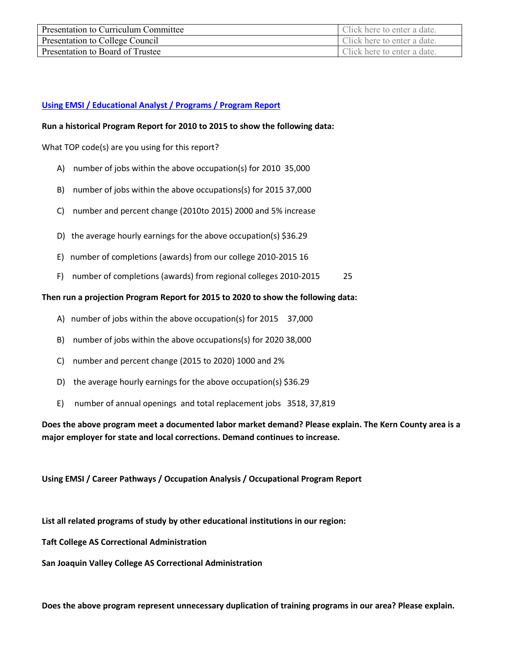| Presentation to Curriculum Committee | Click here to enter a date. |
|--------------------------------------|-----------------------------|
| Presentation to College Council      | Click here to enter a date. |
| Presentation to Board of Trustee     | Click here to enter a date. |

## **[Using EMSI / Educational Analyst / Programs / Program Report](https://west.economicmodeling.com/analyst/?session_tab=51ac03363e8193049bd953975523ffd8#module=programs§ion=my_programs)**

### **Run a historical Program Report for 2010 to 2015 to show the following data:**

What TOP code(s) are you using for this report?

- A) number of jobs within the above occupation(s) for 2010 35,000
- B) number of jobs within the above occupations(s) for 2015 37,000
- C) number and percent change (2010to 2015) 2000 and 5% increase
- D) the average hourly earnings for the above occupation(s) \$36.29
- E) number of completions (awards) from our college 2010-2015 16
- F) number of completions (awards) from regional colleges 2010-2015 25

### **Then run a projection Program Report for 2015 to 2020 to show the following data:**

- A) number of jobs within the above occupation(s) for 2015 37,000
- B) number of jobs within the above occupations(s) for 2020 38,000
- C) number and percent change (2015 to 2020) 1000 and 2%
- D) the average hourly earnings for the above occupation(s) \$36.29
- E) number of annual openings and total replacement jobs 3518, 37,819

**Does the above program meet a documented labor market demand? Please explain. The Kern County area is a major employer for state and local corrections. Demand continues to increase.** 

**Using EMSI / Career Pathways / Occupation Analysis / Occupational Program Report** 

**List all related programs of study by other educational institutions in our region:** 

**Taft College AS Correctional Administration**

**San Joaquin Valley College AS Correctional Administration** 

**Does the above program represent unnecessary duplication of training programs in our area? Please explain.**